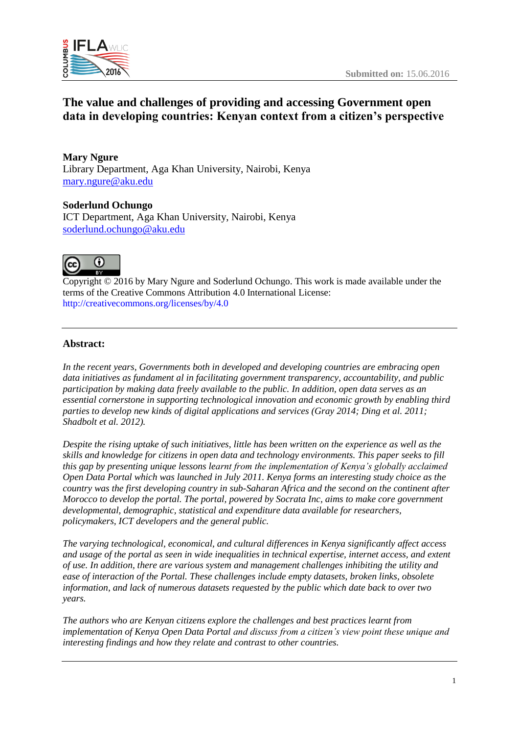

# **The value and challenges of providing and accessing Government open data in developing countries: Kenyan context from a citizen's perspective**

**Mary Ngure** Library Department, Aga Khan University, Nairobi, Kenya [mary.ngure@aku.edu](mailto:mary.ngure@aku.edu)

**Soderlund Ochungo** ICT Department, Aga Khan University, Nairobi, Kenya [soderlund.ochungo@aku.edu](mailto:soderlund.ochungo@aku.edu)



Copyright © 2016 by Mary Ngure and Soderlund Ochungo. This work is made available under the terms of the Creative Commons Attribution 4.0 International License: <http://creativecommons.org/licenses/by/4.0>

#### **Abstract:**

*In the recent years, Governments both in developed and developing countries are embracing open data initiatives as fundament al in facilitating government transparency, accountability, and public participation by making data freely available to the public. In addition, open data serves as an essential cornerstone in supporting technological innovation and economic growth by enabling third parties to develop new kinds of digital applications and services (Gray 2014; Ding et al. 2011; Shadbolt et al. 2012).*

*Despite the rising uptake of such initiatives, little has been written on the experience as well as the skills and knowledge for citizens in open data and technology environments. This paper seeks to fill this gap by presenting unique lessons learnt from the implementation of Kenya's globally acclaimed Open Data Portal which was launched in July 2011. Kenya forms an interesting study choice as the country was the first developing country in sub-Saharan Africa and the second on the continent after Morocco to develop the portal. The portal, powered by Socrata Inc, aims to make core government developmental, demographic, statistical and expenditure data available for researchers, policymakers, ICT developers and the general public.* 

*The varying technological, economical, and cultural differences in Kenya significantly affect access and usage of the portal as seen in wide inequalities in technical expertise, internet access, and extent of use. In addition, there are various system and management challenges inhibiting the utility and ease of interaction of the Portal. These challenges include empty datasets, broken links, obsolete information, and lack of numerous datasets requested by the public which date back to over two years.*

*The authors who are Kenyan citizens explore the challenges and best practices learnt from implementation of Kenya Open Data Portal and discuss from a citizen's view point these unique and interesting findings and how they relate and contrast to other countries.*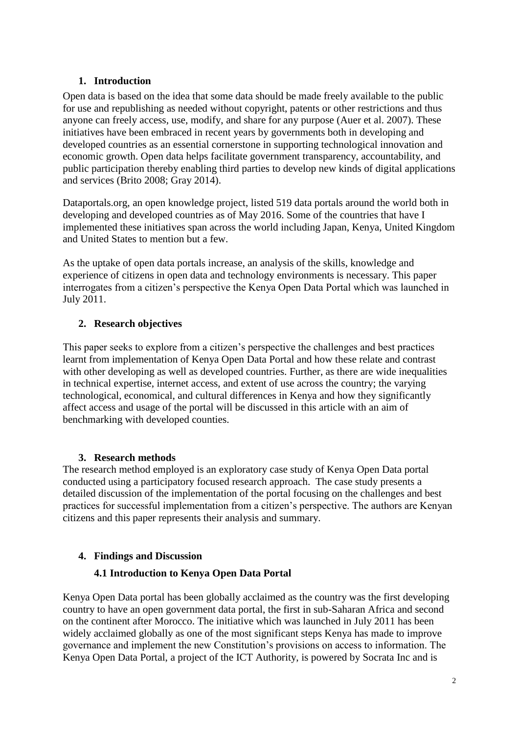### **1. Introduction**

Open data is based on the idea that some data should be made freely available to the public for use and republishing as needed without copyright, patents or other restrictions and thus anyone can freely access, use, modify, and share for any purpose (Auer et al. 2007). These initiatives have been embraced in recent years by governments both in developing and developed countries as an essential cornerstone in supporting technological innovation and economic growth. Open data helps facilitate government transparency, accountability, and public participation thereby enabling third parties to develop new kinds of digital applications and services (Brito 2008; Gray 2014).

Dataportals.org, an open knowledge project, listed 519 data portals around the world both in developing and developed countries as of May 2016. Some of the countries that have I implemented these initiatives span across the world including Japan, Kenya, United Kingdom and United States to mention but a few.

As the uptake of open data portals increase, an analysis of the skills, knowledge and experience of citizens in open data and technology environments is necessary. This paper interrogates from a citizen's perspective the Kenya Open Data Portal which was launched in July 2011.

### **2. Research objectives**

This paper seeks to explore from a citizen's perspective the challenges and best practices learnt from implementation of Kenya Open Data Portal and how these relate and contrast with other developing as well as developed countries. Further, as there are wide inequalities in technical expertise, internet access, and extent of use across the country; the varying technological, economical, and cultural differences in Kenya and how they significantly affect access and usage of the portal will be discussed in this article with an aim of benchmarking with developed counties.

### **3. Research methods**

The research method employed is an exploratory case study of Kenya Open Data portal conducted using a participatory focused research approach. The case study presents a detailed discussion of the implementation of the portal focusing on the challenges and best practices for successful implementation from a citizen's perspective. The authors are Kenyan citizens and this paper represents their analysis and summary.

#### **4. Findings and Discussion**

### **4.1 Introduction to Kenya Open Data Portal**

Kenya Open Data portal has been globally acclaimed as the country was the first developing country to have an open government data portal, the first in sub-Saharan Africa and second on the continent after Morocco. The initiative which was launched in July 2011 has been widely acclaimed globally as one of the most significant steps Kenya has made to improve governance and implement the new Constitution's provisions on access to information. The Kenya Open Data Portal, a project of the ICT Authority, is powered by Socrata Inc and is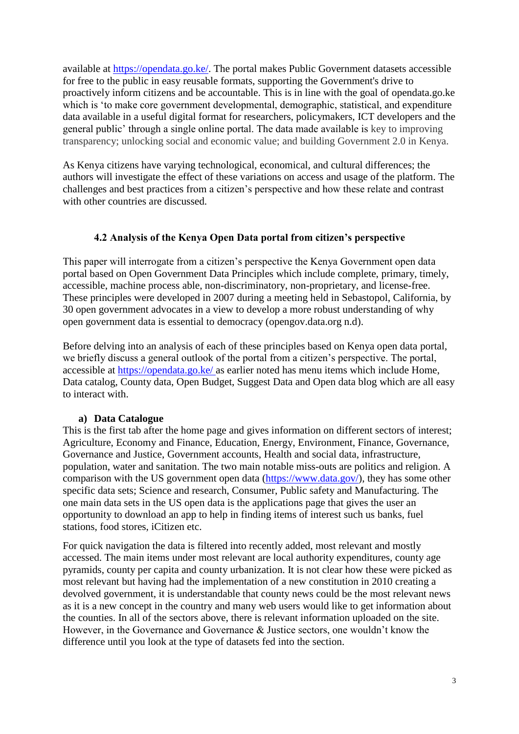available at [https://opendata.go.ke/.](https://opendata.go.ke/) The portal makes Public Government datasets accessible for free to the public in easy reusable formats, supporting the Government's drive to proactively inform citizens and be accountable. This is in line with the goal of opendata.go.ke which is 'to make core government developmental, demographic, statistical, and expenditure data available in a useful digital format for researchers, policymakers, ICT developers and the general public' through a single online portal. The data made available is key to improving transparency; unlocking social and economic value; and building Government 2.0 in Kenya.

As Kenya citizens have varying technological, economical, and cultural differences; the authors will investigate the effect of these variations on access and usage of the platform. The challenges and best practices from a citizen's perspective and how these relate and contrast with other countries are discussed.

#### **4.2 Analysis of the Kenya Open Data portal from citizen's perspective**

This paper will interrogate from a citizen's perspective the Kenya Government open data portal based on Open Government Data Principles which include complete, primary, timely, accessible, machine process able, non-discriminatory, non-proprietary, and license-free. These principles were developed in 2007 during a meeting held in Sebastopol, California, by 30 open government advocates in a view to develop a more robust understanding of why open government data is essential to democracy (opengov.data.org n.d).

Before delving into an analysis of each of these principles based on Kenya open data portal, we briefly discuss a general outlook of the portal from a citizen's perspective. The portal, accessible at<https://opendata.go.ke/> as earlier noted has menu items which include Home, Data catalog, County data, Open Budget, Suggest Data and Open data blog which are all easy to interact with.

### **a) Data Catalogue**

This is the first tab after the home page and gives information on different sectors of interest; Agriculture, Economy and Finance, Education, Energy, Environment, Finance, Governance, Governance and Justice, Government accounts, Health and social data, infrastructure, population, water and sanitation. The two main notable miss-outs are politics and religion. A comparison with the US government open data [\(https://www.data.gov/\)](https://www.data.gov/), they has some other specific data sets; Science and research, Consumer, Public safety and Manufacturing. The one main data sets in the US open data is the applications page that gives the user an opportunity to download an app to help in finding items of interest such us banks, fuel stations, food stores, iCitizen etc.

For quick navigation the data is filtered into recently added, most relevant and mostly accessed. The main items under most relevant are local authority expenditures, county age pyramids, county per capita and county urbanization. It is not clear how these were picked as most relevant but having had the implementation of a new constitution in 2010 creating a devolved government, it is understandable that county news could be the most relevant news as it is a new concept in the country and many web users would like to get information about the counties. In all of the sectors above, there is relevant information uploaded on the site. However, in the Governance and Governance & Justice sectors, one wouldn't know the difference until you look at the type of datasets fed into the section.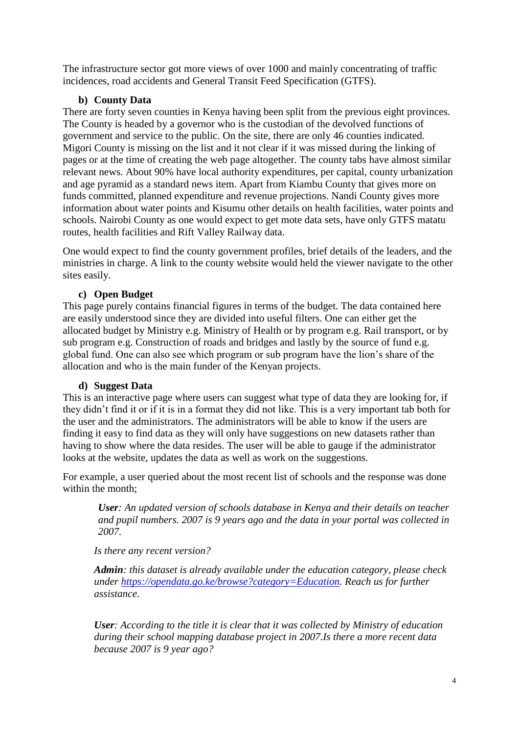The infrastructure sector got more views of over 1000 and mainly concentrating of traffic incidences, road accidents and General Transit Feed Specification (GTFS).

### **b) County Data**

There are forty seven counties in Kenya having been split from the previous eight provinces. The County is headed by a governor who is the custodian of the devolved functions of government and service to the public. On the site, there are only 46 counties indicated. Migori County is missing on the list and it not clear if it was missed during the linking of pages or at the time of creating the web page altogether. The county tabs have almost similar relevant news. About 90% have local authority expenditures, per capital, county urbanization and age pyramid as a standard news item. Apart from Kiambu County that gives more on funds committed, planned expenditure and revenue projections. Nandi County gives more information about water points and Kisumu other details on health facilities, water points and schools. Nairobi County as one would expect to get mote data sets, have only GTFS matatu routes, health facilities and Rift Valley Railway data.

One would expect to find the county government profiles, brief details of the leaders, and the ministries in charge. A link to the county website would held the viewer navigate to the other sites easily.

### **c) Open Budget**

This page purely contains financial figures in terms of the budget. The data contained here are easily understood since they are divided into useful filters. One can either get the allocated budget by Ministry e.g. Ministry of Health or by program e.g. Rail transport, or by sub program e.g. Construction of roads and bridges and lastly by the source of fund e.g. global fund. One can also see which program or sub program have the lion's share of the allocation and who is the main funder of the Kenyan projects.

#### **d) Suggest Data**

This is an interactive page where users can suggest what type of data they are looking for, if they didn't find it or if it is in a format they did not like. This is a very important tab both for the user and the administrators. The administrators will be able to know if the users are finding it easy to find data as they will only have suggestions on new datasets rather than having to show where the data resides. The user will be able to gauge if the administrator looks at the website, updates the data as well as work on the suggestions.

For example, a user queried about the most recent list of schools and the response was done within the month;

*User: An updated version of schools database in Kenya and their details on teacher and pupil numbers. 2007 is 9 years ago and the data in your portal was collected in 2007.*

### *Is there any recent version?*

*Admin: this dataset is already available under the education category, please check under [https://opendata.go.ke/browse?category=Education.](https://opendata.go.ke/browse?category=Education) Reach us for further assistance.*

*User: According to the title it is clear that it was collected by Ministry of education during their school mapping database project in 2007.Is there a more recent data because 2007 is 9 year ago?*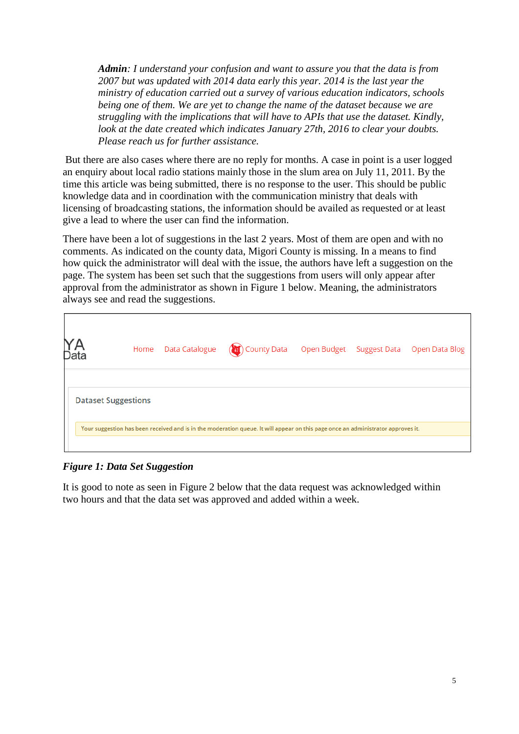*Admin: I understand your confusion and want to assure you that the data is from 2007 but was updated with 2014 data early this year. 2014 is the last year the ministry of education carried out a survey of various education indicators, schools being one of them. We are yet to change the name of the dataset because we are struggling with the implications that will have to APIs that use the dataset. Kindly, look at the date created which indicates January 27th, 2016 to clear your doubts. Please reach us for further assistance.*

But there are also cases where there are no reply for months. A case in point is a user logged an enquiry about local radio stations mainly those in the slum area on July 11, 2011. By the time this article was being submitted, there is no response to the user. This should be public knowledge data and in coordination with the communication ministry that deals with licensing of broadcasting stations, the information should be availed as requested or at least give a lead to where the user can find the information.

There have been a lot of suggestions in the last 2 years. Most of them are open and with no comments. As indicated on the county data, Migori County is missing. In a means to find how quick the administrator will deal with the issue, the authors have left a suggestion on the page. The system has been set such that the suggestions from users will only appear after approval from the administrator as shown in Figure 1 below. Meaning, the administrators always see and read the suggestions.

| YA<br><sub>Data</sub>      |  | Home Data Catalogue (27) County Data Open Budget Suggest Data Open Data Blog                                                     |  |  |
|----------------------------|--|----------------------------------------------------------------------------------------------------------------------------------|--|--|
| <b>Dataset Suggestions</b> |  | Your suggestion has been received and is in the moderation queue. It will appear on this page once an administrator approves it. |  |  |

*Figure 1: Data Set Suggestion*

It is good to note as seen in Figure 2 below that the data request was acknowledged within two hours and that the data set was approved and added within a week.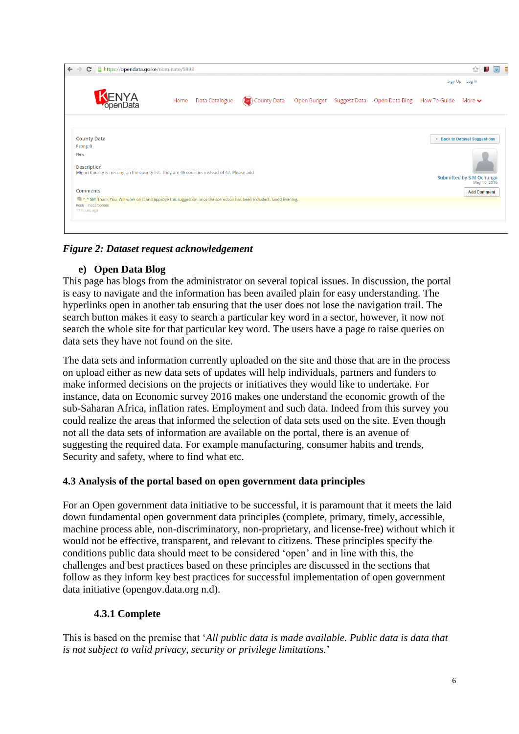| $\otimes$ $\blacksquare$<br>C     https://opendata.go.ke/nominate/5993<br>●<br>$\leftarrow$ $\rightarrow$                |                        |                                                         |  |  |  |                |                                          |  |
|--------------------------------------------------------------------------------------------------------------------------|------------------------|---------------------------------------------------------|--|--|--|----------------|------------------------------------------|--|
|                                                                                                                          |                        |                                                         |  |  |  | Sign Up Log In |                                          |  |
| <b>JENYA</b><br>PopenData                                                                                                | Home<br>Data Catalogue | (b) County Data Open Budget Suggest Data Open Data Blog |  |  |  | How To Guide   | More $\blacktriangleright$               |  |
|                                                                                                                          |                        |                                                         |  |  |  |                |                                          |  |
| <b>County Data</b>                                                                                                       |                        |                                                         |  |  |  |                | 4 Back to Dataset Suggestions            |  |
| Rating: 0                                                                                                                |                        |                                                         |  |  |  |                |                                          |  |
| New<br><b>Description</b><br>Migori County is missing on the county list. They are 46 counties instead of 47. Please add |                        |                                                         |  |  |  |                |                                          |  |
|                                                                                                                          |                        |                                                         |  |  |  |                | Submitted by S M Ochungo<br>May 10, 2016 |  |
| <b>Comments</b>                                                                                                          |                        |                                                         |  |  |  |                | <b>Add Comment</b>                       |  |
| A.A SM Thank You, Will work on it and approve this suggestion once the correction has been included Good Evening.        |                        |                                                         |  |  |  |                |                                          |  |
| Reply Inappropriate                                                                                                      |                        |                                                         |  |  |  |                |                                          |  |
| 17 hours ago                                                                                                             |                        |                                                         |  |  |  |                |                                          |  |
|                                                                                                                          |                        |                                                         |  |  |  |                |                                          |  |

### *Figure 2: Dataset request acknowledgement*

### **e) Open Data Blog**

This page has blogs from the administrator on several topical issues. In discussion, the portal is easy to navigate and the information has been availed plain for easy understanding. The hyperlinks open in another tab ensuring that the user does not lose the navigation trail. The search button makes it easy to search a particular key word in a sector, however, it now not search the whole site for that particular key word. The users have a page to raise queries on data sets they have not found on the site.

The data sets and information currently uploaded on the site and those that are in the process on upload either as new data sets of updates will help individuals, partners and funders to make informed decisions on the projects or initiatives they would like to undertake. For instance, data on Economic survey 2016 makes one understand the economic growth of the sub-Saharan Africa, inflation rates. Employment and such data. Indeed from this survey you could realize the areas that informed the selection of data sets used on the site. Even though not all the data sets of information are available on the portal, there is an avenue of suggesting the required data. For example manufacturing, consumer habits and trends, Security and safety, where to find what etc.

### **4.3 Analysis of the portal based on open government data principles**

For an Open government data initiative to be successful, it is paramount that it meets the laid down fundamental open government data principles (complete, primary, timely, accessible, machine process able, non-discriminatory, non-proprietary, and license-free) without which it would not be effective, transparent, and relevant to citizens. These principles specify the conditions public data should meet to be considered 'open' and in line with this, the challenges and best practices based on these principles are discussed in the sections that follow as they inform key best practices for successful implementation of open government data initiative (opengov.data.org n.d).

### **4.3.1 Complete**

This is based on the premise that '*All public data is made available. Public data is data that is not subject to valid privacy, security or privilege limitations.*'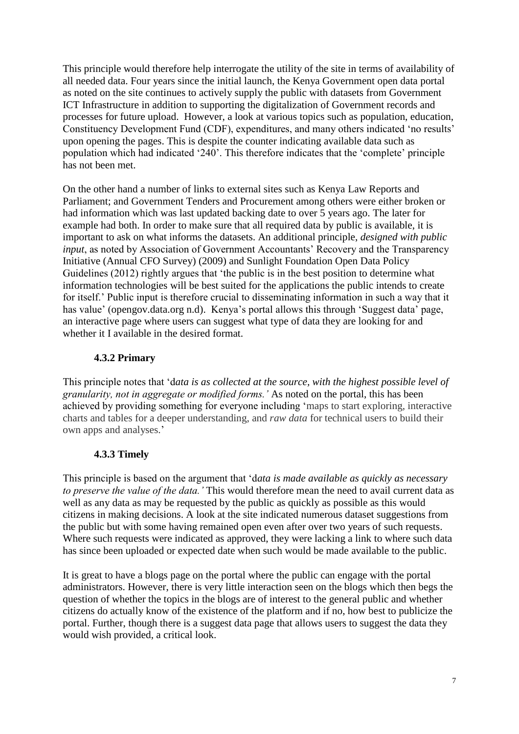This principle would therefore help interrogate the utility of the site in terms of availability of all needed data. Four years since the initial launch, the Kenya Government open data portal as noted on the site continues to actively supply the public with datasets from Government ICT Infrastructure in addition to supporting the digitalization of Government records and processes for future upload. However, a look at various topics such as population, education, Constituency Development Fund (CDF), expenditures, and many others indicated 'no results' upon opening the pages. This is despite the counter indicating available data such as population which had indicated '240'. This therefore indicates that the 'complete' principle has not been met.

On the other hand a number of links to external sites such as Kenya Law Reports and Parliament; and Government Tenders and [Procurement](https://www.opendata.go.ke/Governance/Government-Tenders-Procurement-/qtss-er2d) among others were either broken or had information which was last updated backing date to over 5 years ago. The later for example had both. In order to make sure that all required data by public is available, it is important to ask on what informs the datasets. An additional principle, *designed with public input*, as noted by Association of Government Accountants' Recovery and the Transparency Initiative (Annual CFO Survey) (2009) and Sunlight Foundation Open Data Policy Guidelines (2012) rightly argues that 'the public is in the best position to determine what information technologies will be best suited for the applications the public intends to create for itself.' Public input is therefore crucial to disseminating information in such a way that it has value' (opengov.data.org n.d). Kenya's portal allows this through 'Suggest data' page, an interactive page where users can suggest what type of data they are looking for and whether it I available in the desired format.

### **4.3.2 Primary**

This principle notes that 'd*ata is as collected at the source, with the highest possible level of granularity, not in aggregate or modified forms.'* As noted on the portal, this has been achieved by providing something for everyone including 'maps to start exploring, interactive charts and tables for a deeper understanding, and *raw data* for technical users to build their own apps and analyses.'

### **4.3.3 Timely**

This principle is based on the argument that 'd*ata is made available as quickly as necessary to preserve the value of the data.'* This would therefore mean the need to avail current data as well as any data as may be requested by the public as quickly as possible as this would citizens in making decisions. A look at the site indicated numerous dataset suggestions from the public but with some having remained open even after over two years of such requests. Where such requests were indicated as approved, they were lacking a link to where such data has since been uploaded or expected date when such would be made available to the public.

It is great to have a blogs page on the portal where the public can engage with the portal administrators. However, there is very little interaction seen on the blogs which then begs the question of whether the topics in the blogs are of interest to the general public and whether citizens do actually know of the existence of the platform and if no, how best to publicize the portal. Further, though there is a suggest data page that allows users to suggest the data they would wish provided, a critical look.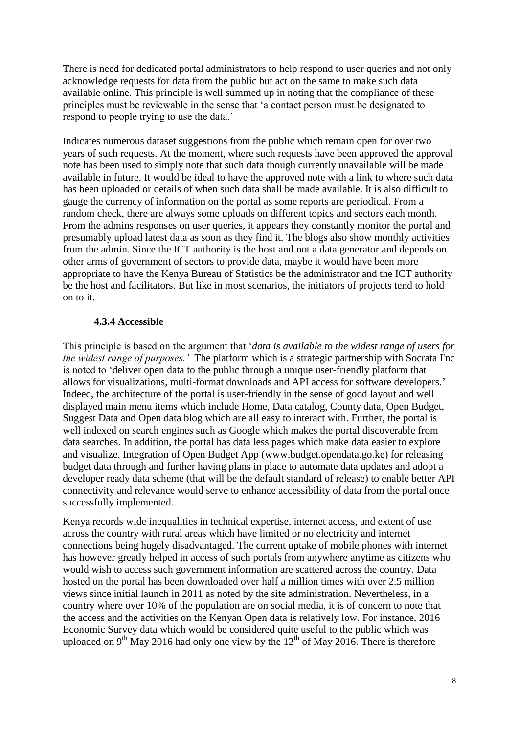There is need for dedicated portal administrators to help respond to user queries and not only acknowledge requests for data from the public but act on the same to make such data available online. This principle is well summed up in noting that the compliance of these principles must be reviewable in the sense that 'a contact person must be designated to respond to people trying to use the data.'

Indicates numerous dataset suggestions from the public which remain open for over two years of such requests. At the moment, where such requests have been approved the approval note has been used to simply note that such data though currently unavailable will be made available in future. It would be ideal to have the approved note with a link to where such data has been uploaded or details of when such data shall be made available. It is also difficult to gauge the currency of information on the portal as some reports are periodical. From a random check, there are always some uploads on different topics and sectors each month. From the admins responses on user queries, it appears they constantly monitor the portal and presumably upload latest data as soon as they find it. The blogs also show monthly activities from the admin. Since the ICT authority is the host and not a data generator and depends on other arms of government of sectors to provide data, maybe it would have been more appropriate to have the Kenya Bureau of Statistics be the administrator and the ICT authority be the host and facilitators. But like in most scenarios, the initiators of projects tend to hold on to it.

#### **4.3.4 Accessible**

This principle is based on the argument that '*data is available to the widest range of users for the widest range of purposes.'* The platform which is a strategic partnership with Socrata I'nc is noted to 'deliver open data to the public through a unique user-friendly platform that allows for visualizations, multi-format downloads and API access for software developers.' Indeed, the architecture of the portal is user-friendly in the sense of good layout and well displayed main menu items which include Home, Data catalog, County data, Open Budget, Suggest Data and Open data blog which are all easy to interact with. Further, the portal is well indexed on search engines such as Google which makes the portal discoverable from data searches. In addition, the portal has data less pages which make data easier to explore and visualize. Integration of Open Budget App (www.budget.opendata.go.ke) for releasing budget data through and further having plans in place to automate data updates and adopt a developer ready data scheme (that will be the default standard of release) to enable better API connectivity and relevance would serve to enhance accessibility of data from the portal once successfully implemented.

Kenya records wide inequalities in technical expertise, internet access, and extent of use across the country with rural areas which have limited or no electricity and internet connections being hugely disadvantaged. The current uptake of mobile phones with internet has however greatly helped in access of such portals from anywhere anytime as citizens who would wish to access such government information are scattered across the country. Data hosted on the portal has been downloaded over half a million times with over 2.5 million views since initial launch in 2011 as noted by the site administration. Nevertheless, in a country where over 10% of the population are on social media, it is of concern to note that the access and the activities on the Kenyan Open data is relatively low. For instance, 2016 Economic Survey data which would be considered quite useful to the public which was uploaded on  $9<sup>th</sup>$  May 2016 had only one view by the  $12<sup>th</sup>$  of May 2016. There is therefore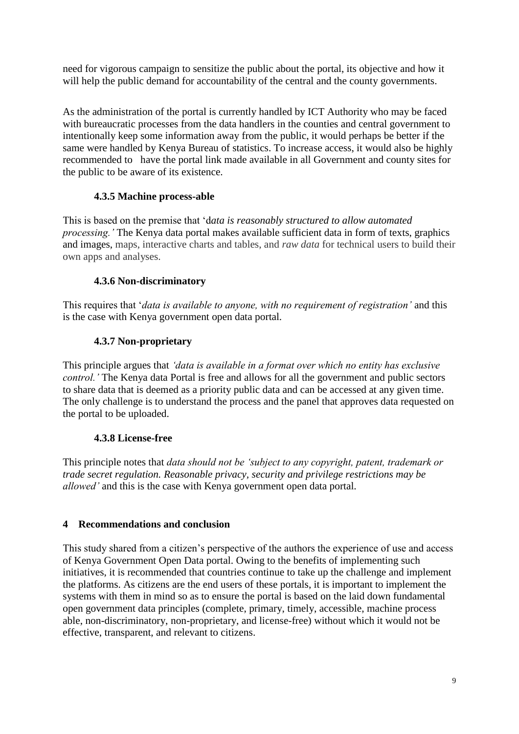need for vigorous campaign to sensitize the public about the portal, its objective and how it will help the public demand for accountability of the central and the county governments.

As the administration of the portal is currently handled by ICT Authority who may be faced with bureaucratic processes from the data handlers in the counties and central government to intentionally keep some information away from the public, it would perhaps be better if the same were handled by Kenya Bureau of statistics. To increase access, it would also be highly recommended to have the portal link made available in all Government and county sites for the public to be aware of its existence.

### **4.3.5 Machine process-able**

This is based on the premise that 'd*ata is reasonably structured to allow automated processing.'* The Kenya data portal makes available sufficient data in form of texts, graphics and images, maps, interactive charts and tables, and *raw data* for technical users to build their own apps and analyses.

## **4.3.6 Non-discriminatory**

This requires that '*data is available to anyone, with no requirement of registration'* and this is the case with Kenya government open data portal*.*

## **4.3.7 Non-proprietary**

This principle argues that *'data is available in a format over which no entity has exclusive control.'* The Kenya data Portal is free and allows for all the government and public sectors to share data that is deemed as a priority public data and can be accessed at any given time. The only challenge is to understand the process and the panel that approves data requested on the portal to be uploaded.

## **4.3.8 License-free**

This principle notes that *data should not be 'subject to any copyright, patent, trademark or trade secret regulation. Reasonable privacy, security and privilege restrictions may be allowed'* and this is the case with Kenya government open data portal*.*

## **4 Recommendations and conclusion**

This study shared from a citizen's perspective of the authors the experience of use and access of Kenya Government Open Data portal. Owing to the benefits of implementing such initiatives, it is recommended that countries continue to take up the challenge and implement the platforms. As citizens are the end users of these portals, it is important to implement the systems with them in mind so as to ensure the portal is based on the laid down fundamental open government data principles (complete, primary, timely, accessible, machine process able, non-discriminatory, non-proprietary, and license-free) without which it would not be effective, transparent, and relevant to citizens.